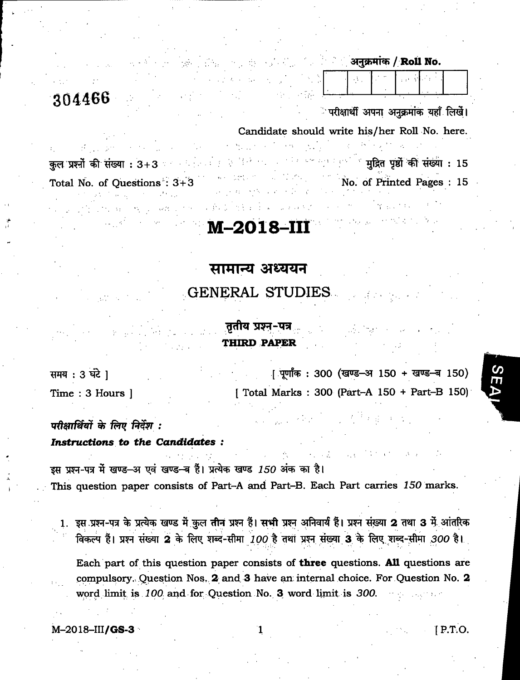## 3044BB

अनुक्रमांक / Roll No.

े परीक्षार्थी अपना अनुक्रमांक यहाँ लिखें।

Candidate should write his/her Roll No. here.

कुल प्रश्नों की संख्या :  $3+3$ Total No. of Questions :  $3+3$  $\sim$  '  $\sim$  ' मुद्रित पूर्धों की संख्या : 15 No. of printed Pages : 15

## M-2018-in

## सामान्य अध्ययन

GENERAL STUDIES

## तृतीय प्रश्न-पत्र THIRD PAPER

[ पूर्णांक: 300 (खण्ड-अ 150 + खण्ड-ब 150) [ Total Marks 300 (Part-A 150 + Part-B 150) समय  $: 3$  घंटे ] Time : 3 Hours ]

### परीक्षार्थियों के लिए निर्देश : Instructions to the Candidates :

इस प्रश्न-पत्र में खण्ड-अ एवं खण्ड-ब हैं। प्रत्येक खण्ड 150 अंक का है। This question paper consists of Part-A and Part-B. Each Part carries 150 marks.

1. इस प्रश्न-पत्र के प्रत्येक खण्ड में कुल तीन प्रश्न हैं। सभी प्रश्न अनिवार्य हैं। प्रश्न संख्या 2 तथा 3 में आंतरिक विकल्प हैं। प्रश्न संख्या 2 के लिए शब्द-सीमा 100 है तथा प्रश्न संख्या 3 के लिए शब्द-सीमा 300 है।

Each part of this question paper consists of three questions. All questions are compulsory. Question Nos. 2 and 3 have an internal choice. For Question No. 2 word limit is  $100$  and for Question No. 3 word limit is  $300$ .

 $M=2018$ -III/GS-3  $1$  P.T.O.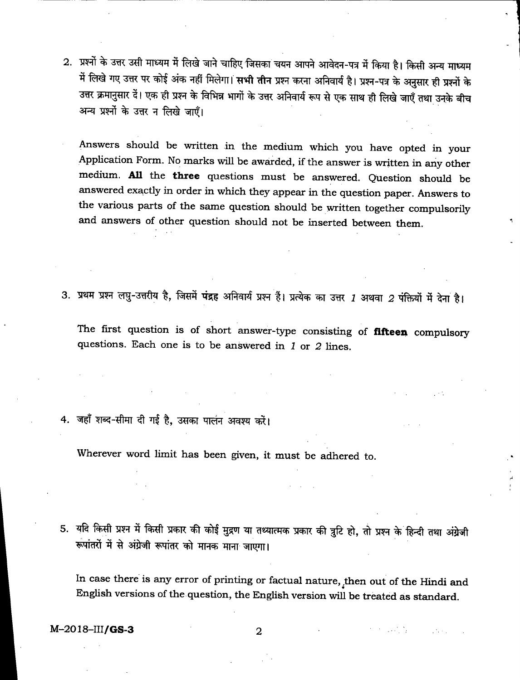- 2. प्रश्नों के उत्तर उसी माध्यम में लिखे जाने चाहिए जिसका चयन आपने आवेदन-पत्र में किया है। किसी अन्य माध्यम में लिखे गए उत्तर पर कोई अंक नहीं मिलेगा। <mark>सभी तीन</mark> प्रश्न करना अनिवार्य है। प्रश्न-पत्र के अनुसार ही प्रश्नों के<br>उत्तर क्रमानुसार दें। एक ही प्रश्न के विभिन्न भागों के उत्तर अनिवार्य रूप से एक साथ ही लिखे जाएँ तथा उनके ब उत्तर क्रमानुसार दें। एक ही प्रश्न के विभिन्न भागों के उत्तर अनिवार्य रूप से एक साथ ही लिखे जाएँ तथा उनके बीच<br>अन्य प्रश्नों के उत्तर न लिखे जाएँ।
	- Answers should be written in the medium which you have opted in your Application Form. No marks will be awarded, if the answer is written in any other medium. All the three questions must be answered. Question should be answered exactly in order in which they appear in the question paper. Answers to the various parts of the same question should be written together compulsorily and answers of other question should not be inserted between them.
- 3. प्रथम प्रश्न लघु-उत्तरीय है, जिसमें पंद्रह अनिवार्य प्रश्न हैं। प्रत्येक का उत्तर 1 अथवा 2 पंक्तियों में देना है।

The first question is of short answer-type consisting of **fifteen** compulsory questions. Each one is to be answered in  $1$  or  $2$  lines.

4. जहाँ शब्द-सीमा दी गई है, उसका पालन अवश्य करें।

Wherever word limit has been given, it must be adhered to.

5. यदि किसी प्रश्न में किसी प्रकार की कोई मुद्रण या तथ्यात्मक प्रकार की त्रुटि हो, तो प्रश्न के हिन्दी तथा अंग्रेजी रूपांतरों में से अंग्रेजी रूपांतर को मानक माना जाएगा।

In case there is any error of printing or factual nature, then out of the Hindi and English versions of the question, the English version will be treated as standard.

 $M - 2018 - III/GS - 3$  2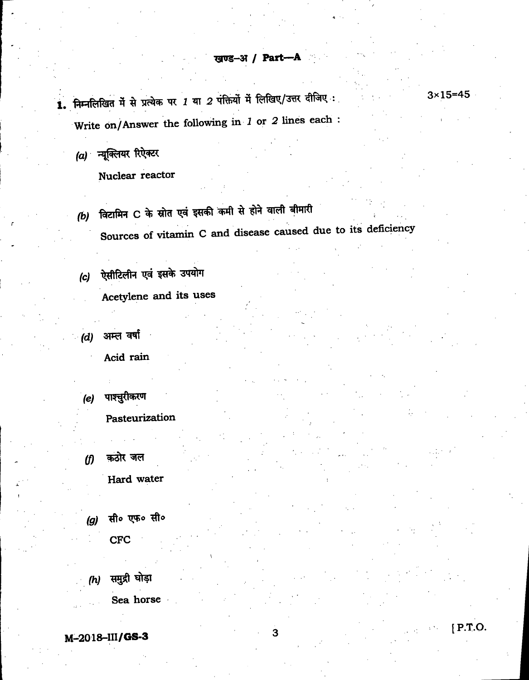$3 \times 15 = 45$ 

[ P.T.O.

1. निम्नलिखित में से प्रत्येक पर 1 या 2 पंक्तियों में लिखिए/उत्तर दीजिए: Write on/Answer the following in 1 or 2 lines each :

(a) न्यूक्लियर रिऐक्टर

Nuclear reactor

- (b) विटामिन C के स्रोत एवं इसकी कमी से होने वाली बीमारी Sources of vitamin C and disease caused due to its deficiency
- $(c)$  ऐसीटिलीन एवं इसके उपयोग Acetylene and its uses
- *(d)* अम्ल वर्षा Acid rain
- पाश्चुरीकरण (e) Pasteurization
- *(f)* कठोर जल Hard water
- (g) सी॰ एफ॰ सी॰ CFC

\

 $(h)$  समुद्री घोड़ा Sea horse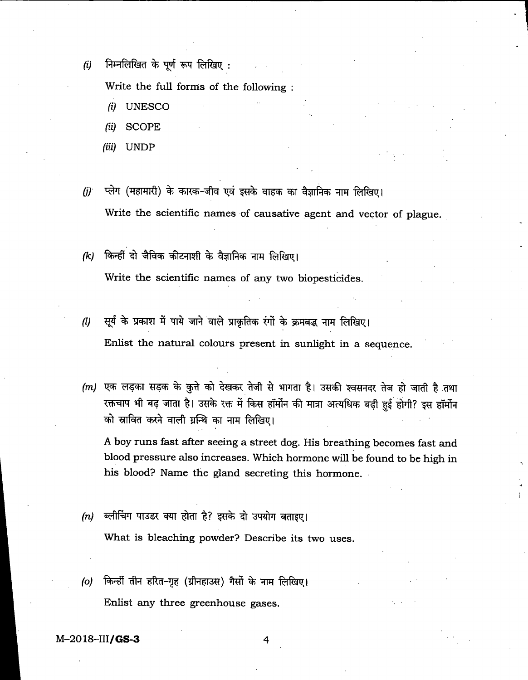$(i)$  निम्नलिखित के पूर्ण रूप लिखिए:

Write the full forms of the following :

- (i) UNESCO
- (ii) SCOPE
- (iii) UNDP
- $\left( j\right)$  प्लेग (महामारी) के कारक-जीव एवं इसके वाहक का वैज्ञानिक नाम लिखिए। Write the scientific names of causative agent and vector of plague.
- $(k)$  किन्हीं दो जैविक कीटनाशी के वैज्ञानिक नाम लिखिए। Write the scientific names of any two biopesticides.
- $\,$  1) सूर्य के प्रकाश में पाये जाने वाले प्राकृतिक रंगों के क्रमबद्ध नाम लिखिए। Enlist the natural colours present in sunlight in a sequence.
- (m) एक लड़का सड़क के कुत्ते को देखकर तेजी से भागता है। उसकी श्वसनदर तेज हो जाती है तथा<br>रक्तचाप भी बढ़ जाता है। उसके रक्त में किस हॉर्मोन की मात्रा अत्यधिक बढ़ी हुई होगी? इस हॉर्मोन को स्रावित करने वाली ग्रन्थि का नाम लिखिए।

A boy runs fast after seeing a street dog. His breathing becomes fast and blood pressure also increases. Which hormone will be found to be high in his blood? Name the gland secreting this hormone.

- (n) ब्लीचिंग पाउडर क्या होता है? इसके दो उपयोग बताइए। What is bleaching powder? Describe its two uses.
- (o) किन्हीं तीन हरित-गृह (ग्रीनहाउस) गैसों के नाम लिखिए। Enlist any three greenhouse gases.

M-2018-1I1/GS-3 4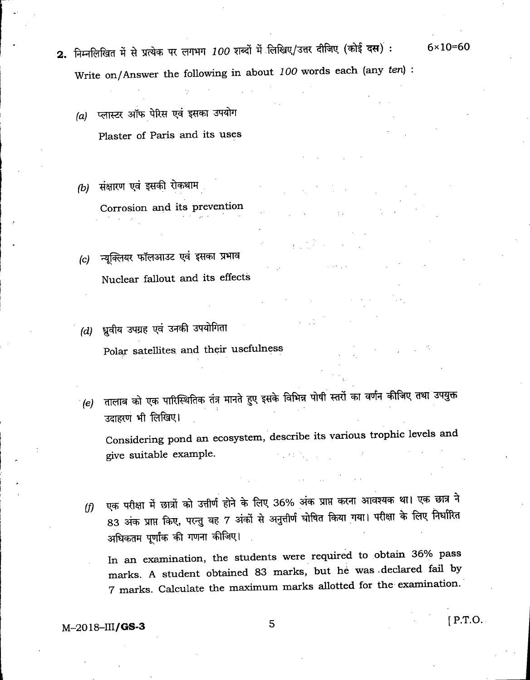- 2. निम्नलिखित में से प्रत्येक पर लगभग 100 शब्दों में लिखिए/उत्तर दीजिए (कोई दस): 6×10=60 Write on/Answer the following in about 100 words each (any ten) :
	- (a) प्लास्टर ऑफ पेरिस एवं इसका उपयोग Plaster of Paris and its uses
	- (b) संक्षारण एवं इसकी रोकथाम Corrosion and its prevention
	- $(c)$  न्यूक्लियर फॉलआउट एवं इसका प्रभाव Nuclear fallout and its effects
	- $(d)$  ध्रुवीय उपग्रह एवं उनकी उपयोगिता Polar satellites and their usefulness ,
	- $\epsilon(e)$  तालाब को एक पारिस्थितिक तंत्र मानते हुए इसके विभिन्न पोषी स्तरों का वर्णन कीजिए तथा उपयुक्त उदाहरण भी लिखिए।

Considering pond an ecosystem, describe its various trophic levels and give suitable example.

<sup>I</sup> .

(f) एक परीक्षा में छात्रों को उत्तीर्ण होने के लिए 36% अंक प्राप्त करना आवश्यक था। एक छात्र ने 83 अंक प्राप्त किए, परन्तु वह 7 अंकों से अनुत्तीर्ण घोषित किया गया। परीक्षा के लिए निर्धारित अधिकतम पूर्णांक की गणना कीजिए।

In an examination, the students were required to obtain 36% pass marks. A student obtained 83 marks, but he was .declared fad by 7 marks. Calculate the maximum marks allotted for the examination.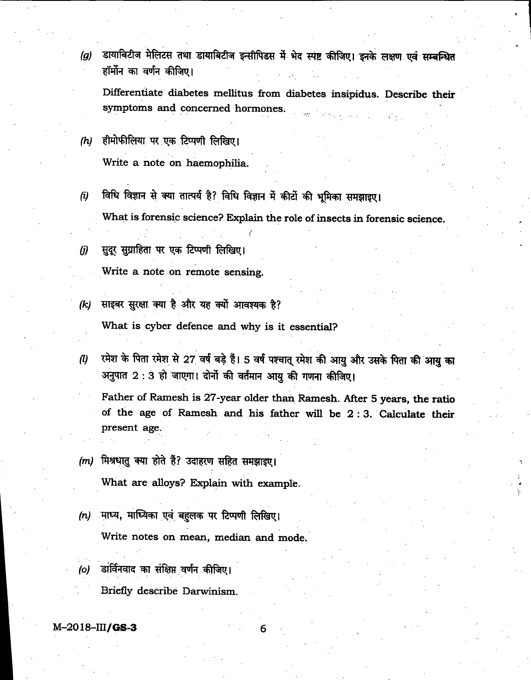डायाबिटीज मेलिटस तथा डायाबिटीज इन्सीपिडस में भेद स्पष्ट कीजिए। इनके लक्षण एवं सम्बन्धित<br>हॉर्मोन का वर्णन कीजिए।  $\left( a\right)$ 

Differentiate diabetes mellitus from diabetes insipidus. Describe their symptoms and concemed hormones.

- $(h)$  हीमोफीलिया पर एक टिप्पणी लिखिए। Write a note on haemophilia.
- $(i)$  विधि विज्ञान से क्या तात्पर्य है? विधि विज्ञान में कीटों की भूमिका समझाइए। What is forensic science? Explain the role of insects in forensic science.
- $(j)$  सुदूर सुग्राहिता पर एक टिप्पणी लिखिए।

Write a note on remote sensing.

(k) साइबर सुरक्षा क्या है और यह क्यों आवश्यक है?

What is cyber defence and why is it essential?

...<br>(1) रमेश के पिता रमेश से 27 वर्ष बड़े हैं। 5 वर्ष पश्चात् रमेश की आयु और उसके पिता की आयु का रमेश के पिता रमेश से 27 वर्ष बड़े हैं। 5 वर्ष पश्चात् रमेश की<br>अनुपात 2 : 3 हो जाएगा। दोनों की वर्तमान आयु की गणना

Father of Ramesh is 27-year older than Ramesh. After 5 years, the ratio of the age of Ramesh and his father will be 2:3. Calculate their present age.

*(m)* मिश्रधातु क्या होते हैं? उदाहरण सहित समझाइए।

What are alloys? Explain with example.

- $(n)$  माध्य, माध्यिका एवं बहुलक पर टिप्पणी लिखिए। Write notes on mean, median and mode.
- (o) डार्विनवाद का संक्षिप्त वर्णन कीजिए। Briefly describe Darwinism.

 $M - 2018 - III/GS-3$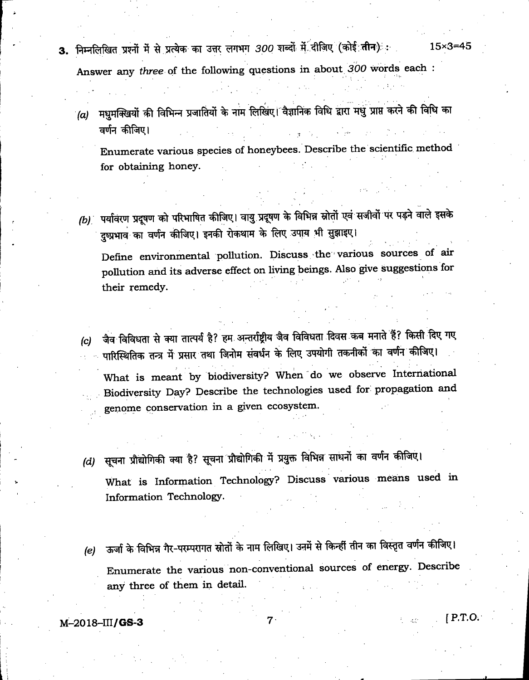- 3. निम्नलिखित प्रश्नों में से प्रत्येक का उत्तर लगभग *300* शब्दों में दीजिए (कोई तीन)ः : 15×3=45 Answer any three of the following questions in about 300 words each :
	- (a) मधुमक्खियों की विभिन्न प्रजातियों के नाम लिखिए। वैज्ञानिक विधि द्वारा मधु प्राप्त करने की विधि का<br>वर्णन कीजिए।

Enumerate various species of honeybees. Describe the scientific method for obtaining honey.

(b) पर्यावरण प्रदूषण को परिभाषित कीजिए। वायु प्रदूषण के विभिन्न स्रोतों एवं सजीवों पर पड़ने वाले इसके दुष्प्रभाव का वर्णन कीजिए। इनकी रोकथाम के लिए उपाय भी सुझाइए।

Define environmental pollution. Discuss the' various sources of air pollution and its adverse effect on living beings. Also give suggestions for their remedy.

(c) जैव विविधता से क्या तात्पर्य है? हम अन्तर्राष्ट्रीय जैव विविधता दिवस कब मनाते हैं? किसी दिए गए<br>······ पारिस्थितिक तन्त्र में प्रसार तथा जिनोम संवर्धन के लिए उपयोगी तकनीकों का वर्णन कीजिए।

What is meant by biodiversity? When do we observe International Biodiversity Day? Describe the technologies used for propagation and . genome conservation in a given ecosystem.

- (d) सूचना प्रौद्योगिकी क्या है? सूचना प्रौद्योगिकी में प्रयुक्त विभिन्न साधनों का वर्णन कीजिए। What is Information Technology? Discuss various means used in Information Technology.
- (e) ऊर्जा के विभिन्न गैर-परम्परागत स्रोतों के नाम लिखिए। उनमें से किन्हीं तीन का विस्तृत वर्णन कीजिए। Enumerate the various non-conventional sources of energy. Describe any three of them in detail.

 $M=2018$ -III/GS-3 [P.T.O.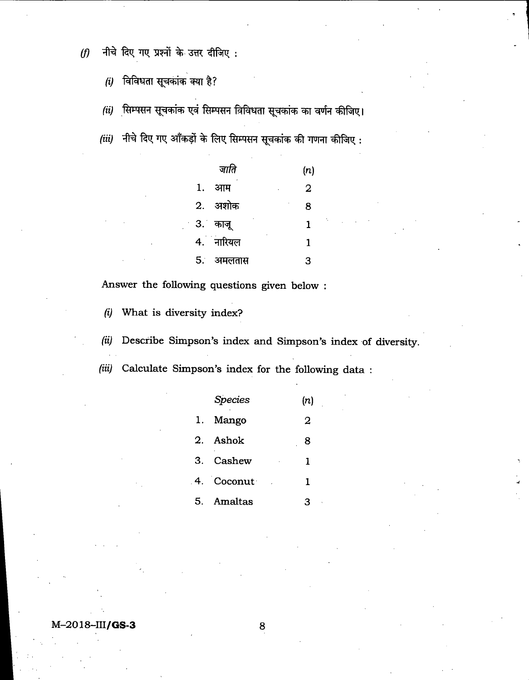$(f)$  नीचे दिए गए प्रश्नों के उत्तर दीजिए:

 $(i)$  विविधता सूचकांक क्या है?

*(ii)* सिम्पसन सूचकांक एवं सिम्पसन विविधता सूचकांक का वर्णन कीजिए।

 $(iii)$  नीचे दिए गए आँकड़ों के लिए सिम्पसन सूचकांक की गणना कीजिए:

|     | जाति            | (n)    |
|-----|-----------------|--------|
| 1.  | आम              | 2<br>٠ |
| 2.  | अशोक            | 8      |
| 3.1 | काजू            | 1      |
|     | ł,<br>4. नारियल | 1      |
| 5.  | अमलतास          | 3      |

Answer the following questions given below :

(i) What is diversity index?

(ii) Describe Simpson's index and Simpson's index of diversity.

(iii) Calculate Simpson's index for the following data :

|    | <b>Species</b> | (n)     |
|----|----------------|---------|
| 1. | Mango          | 2       |
|    | 2. Ashok       | 8       |
|    | 3. Cashew      | 1<br>×, |
|    | 4. Coconut     | 1       |
|    | 5. Amaltas     | З       |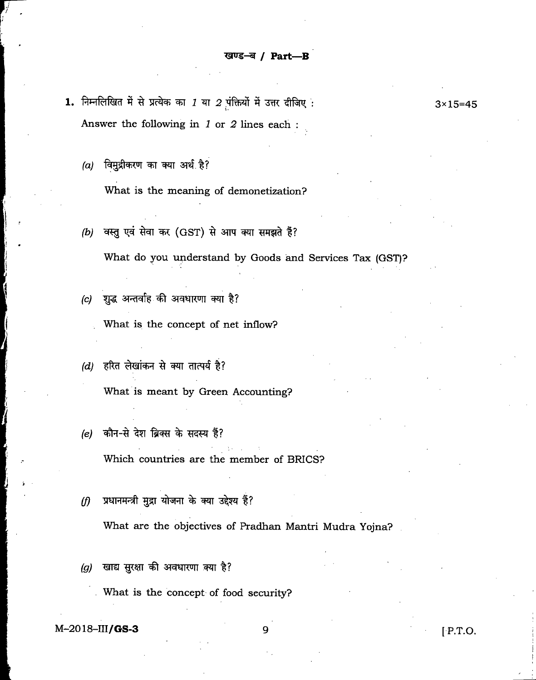- 1. निम्नलिखित में से प्रत्येक का 1 या 2 पंक्तियों में उत्तर दीजिए :  $3 \times 15 = 45$ Answer the following in J or 2 lines each :
	- $(a)$  विमुद्रीकरण का क्या अर्थ है?

What is the meaning of demonetization?

(b) वस्तु एवं सेवा कर (GST) से आप क्या समझते हैं?

What do you understand by Goods and Services Tax (GST)?

 $(c)$  शुद्ध अन्तर्वाह की अवधारणा क्या है?

What is the concept of net inflow?

- $(d)$  हरित लेखांकन से क्या तात्पर्य है? What is meant by Green Accounting?
- (e) कौन-से देश ब्रिक्स के सदस्य हैं?

Which countries are the member of BRIGS?

 $(f)$  प्रधानमन्त्री मुद्रा योजना के क्या उद्देश्य हैं?

What are the objectives of Pradhan Mantri Mudra Yojna?

 $(g)$  खाद्य सुरक्षा की अवधारणा क्या है?

What is the concept of food security?

 $M-2018-III/GS-3$  9 [ P.T.O.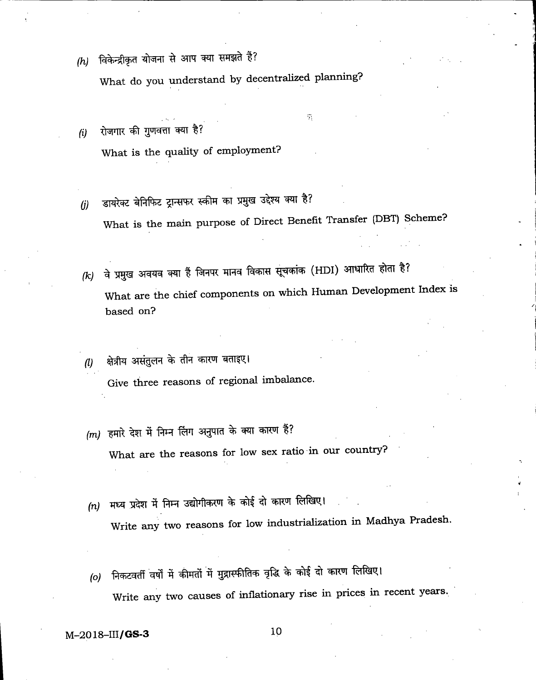$(h)$  विकेन्द्रीकृत योजना से आप क्या समझते हैं?

What do you understand by decentralized planning?

- *(i)* रोजगार की गुणवत्ता क्या है? What is the quality of employment?
- (j) डायरेक्ट बेनिफिट ट्रान्सफर स्कीम का प्रमुख उद्देश्य क्या है? What is the main purpose of Direct Benefit Transfer (DBT) Scheme?

 $\widehat{\gamma}$ 

- (k) वे प्रमुख अवयव क्या हैं जिनपर मानव विकास सूचकांक (HDI) आधारित होता है? What are the chief components on which Human Development Index is based on?
- (1) क्षेत्रीय असंतुलन के तीन कारण बताइए। Give three reasons of regional imbalance.
- (m) हमारे देश में निम्न लिंग अनुपात के क्या कारण हैं? What are the reasons for low sex ratio in our country?
- मध्य प्रदेश में निम्न उद्योगीकरण के कोई दो कारण लिखिए।  $(n)$ Write any two reasons for low industrialization in Madhya Pradesh.
- निकटवर्ती वर्षों में कीमतों में मुद्रास्फीतिक वृद्धि के कोई दो कारण लिखिए।  $(o)$ Write any two causes of inflationary rise in prices in recent years.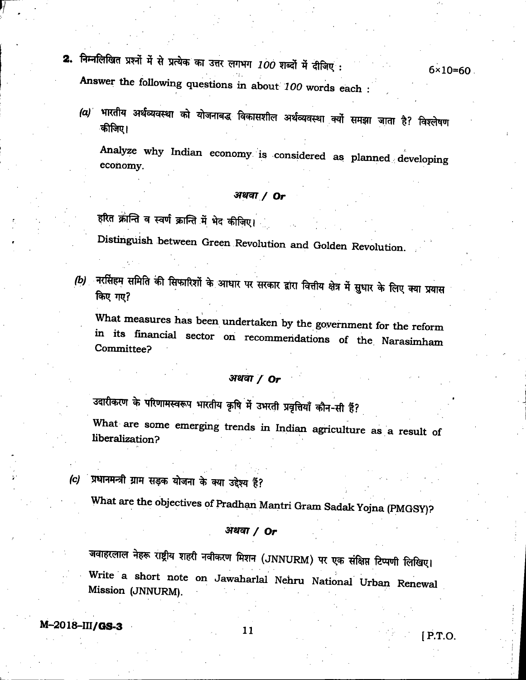- 2. निम्नलिखित प्रश्नों में से प्रत्येक का उत्तर लगभग 100 शब्दों में दीजिए : 6x10=60 Answer the following questions in about 100 words each
	- (a) भारतीय अर्थव्यवस्था को योजनाबद्ध विकासशील अर्थव्यवस्था क्यों समझा जाता है? विश्लेषण<br>कीजिए।

Analyze why Indian economy is considered as planned developing economy.

### अथवा / Or

हरित क्रान्ति व स्वर्ण क्रान्ति में भेद कीज़िए।

Distinguish between Green Revolution and Golden Revolution.

(b) नरसिंहम समिति की सिफारिशों के आधार पर सरकार द्वारा वित्तीय क्षेत्र में सुधार के लिए क्या प्रयास किए गए?

What measures has been undertaken by the government for the reform in its financial sector on recommendations of the Narasimham Committee?

### अथवा $/$  Or

उदारीकरण के परिणामस्वरूप भारतीय कृषि में उभरती प्रवृत्तियाँ कौन-सी हैं?

What are some emerging trends in Indian agriculture as a result of liberalization?

(c) प्रधानमन्त्री ग्राम सड़क योजना के क्या उद्देश्य हैं?

What are the objectives of Pradhan Mantri Gram Sadak Yojna (PMGSY)?

### अथवा $/$  Or

जवाहरलाल नेहरू राष्ट्रीय शहरी नवीकरण मिशन (JNNURM) पर एक संक्षिप्त टिप्पणी लिखिए। Write a short note on Jawaharlal Nehru National Urban Renewal Mission (JNNURM).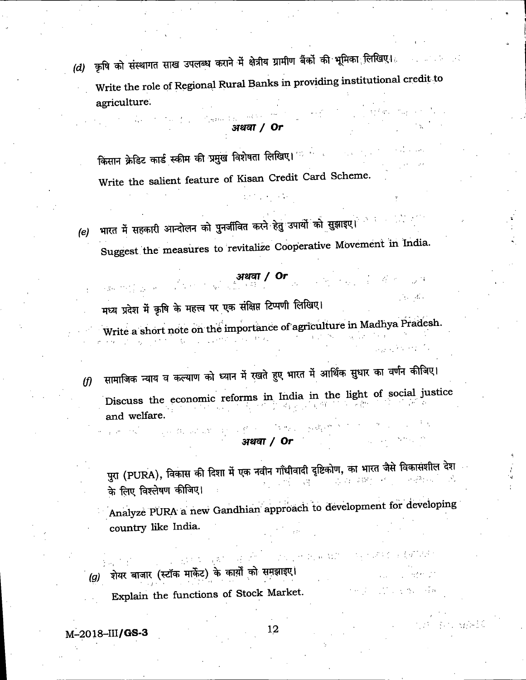(d) कृषि को संस्थागत साख उपलब्ध कराने में क्षेत्रीय ग्रामीण बैंकों की भूमिका लिखिए। Write the role of Regional Rural Banks in providing institutional credit to agriculture.

### अथवा / Or

किसान क्रेडिट कार्ड स्कीम की प्रमुख विशेषता लिखिए। संकल्प के साथ Write the salient feature of Kisan Credit Card Scheme.

भारत में सहकारी आन्दोलन को पुनर्जीवित करने हेतु उपायों को सुझाइए।  $(e)$ Suggest the measures to revitalize Cooperative Movement in India.

# ्यथवा / Or $\frac{1}{2}$  अथवा / Or

 $-6<\omega$ 

しょうこうかい 手頭

 $\gamma_{\rm eff} = 1.1$ 

मध्य प्रदेश में कृषि के महत्त्व पर एक संक्षिप्त टिप्पणी लिखिए।

Write a short note on the importance of agriculture in Madhya Pradesh.  $\label{eq:2} \frac{1}{2} \left( \frac{1}{2} \sum_{i=1}^n \frac{1}{2} \left( \frac{1}{2} \sum_{i=1}^n \frac{1}{2} \sum_{i=1}^n \frac{1}{2} \right) \right)^2 \left( \frac{1}{2} \sum_{i=1}^n \frac{1}{2} \sum_{i=1}^n \frac{1}{2} \sum_{i=1}^n \frac{1}{2} \sum_{i=1}^n \frac{1}{2} \sum_{i=1}^n \frac{1}{2} \sum_{i=1}^n \frac{1}{2} \sum_{i=1}^n \frac{1}{2} \sum_{i=1}^n$ 

सामाजिक न्याय व कल्याण को ध्यान में रखते हुए भारत में आर्थिक सुधार का वर्णन कीजिए।  $\theta$ Discuss the economic reforms in India in the light of social justice and welfare.

### अथवा / Or

पुरा (PURA), विकास की दिशा में एक नवीन गाँधीवादी दृष्टिकोण, का भारत जैसे विकासशील देश  $\mathcal{A}^{\text{max}}_{\text{max}}$  $\label{eq:3.1} \mathcal{L} = \mathcal{L} \mathcal{L} + \mathcal{L} \mathcal{L} \mathcal{L} \mathcal{L} \mathcal{L} \mathcal{L} \mathcal{L} \mathcal{L} \mathcal{L} \mathcal{L} \mathcal{L} \mathcal{L} \mathcal{L} \mathcal{L} \mathcal{L} \mathcal{L} \mathcal{L} \mathcal{L} \mathcal{L} \mathcal{L} \mathcal{L} \mathcal{L} \mathcal{L} \mathcal{L} \mathcal{L} \mathcal{L} \mathcal{L} \mathcal{L} \mathcal{L} \mathcal{L} \mathcal{L} \mathcal{L$ के लिए विश्लेषण कीजिए।

Analyze PURA a new Gandhian approach to development for developing country like India.

(g) शेयर बाजार (स्टॉक मार्केट) के कार्यों को समझाइए। Explain the functions of Stock Market.

### $M-2018-HI/GS-3$

12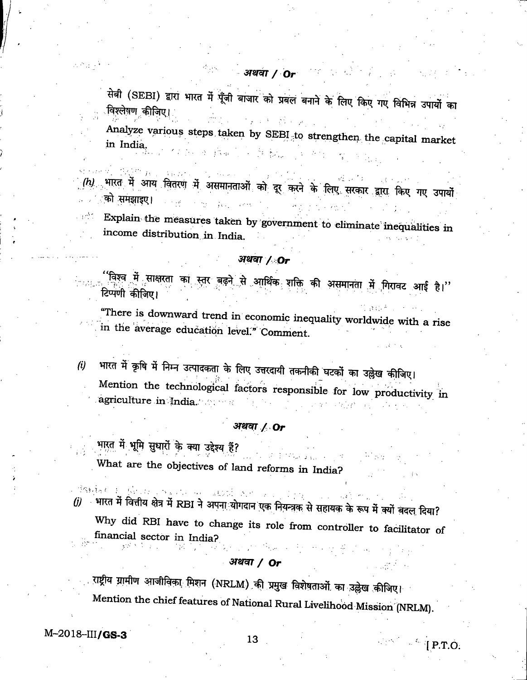सेबी (SEBI) द्वारा भारत में पूँजी बाजार को प्रबल बनाने के लिए किए गए विभिन्न उपायों का विश्लेषण कीजिए। きょうなんしゅうし

Analyze various steps taken by SEBI to strengthen the capital market in India. 计控制 人名英格兰

 $\langle h\rangle$  भारत में आय वितरण में असमानताओं को दूर करने के लिए सरकार द्वारा किए गए उपायों को समझाइए।

Explain the measures taken by government to eliminate inequalities in income distribution in India.

### अथवा / Or

<sup>''</sup>विश्व**्में साक्षरता का स्तर बढ़ने से आर्थिक श**क्ति की असमानता में गिरावट आई है।'' टिप्पणी कीजिए।

"There is downward trend in economic inequality worldwide with a rise in the average education level." Comment.

भारत में कृषि में निम्न उत्पादकता के लिए उत्तरदायी तकनीकी घटकों का उल्लेख कीजिए।  $(i)$ Mention the technological factors responsible for low productivity in agriculture in India.  $\mathbb{Z}(\mathbb{R}^d)$ 

### अथवा / Or

भारत में भूमि सुधारों के क्या उद्देश्य हैं?

aka <sub>tan</sub> sa sa mga What are the objectives of land reforms in India?

- Britan Louis Const (j) भारत में वित्तीय क्षेत्र में RBI ने अपना योगदान एक नियन्त्रक से सहायक के रूप में क्यों बदल दिया?

Why did RBI have to change its role from controller to facilitator of financial sector in India?

### अथवा /  $Or$

राष्ट्रीय ग्रामीण आजीविका मिशन (NRLM) की प्रमुख विशेषताओं का उल्लेख कीजिए। Mention the chief features of National Rural Livelihood Mission (NRLM).

 $M - 2018 - III/GS-3$ 

 $\Delta\mathcal{P}_{\rm eff}$  .

 $\mathcal{L}(\mathbb{R}^d) = \mathcal{L}(\mathbf{P.T.O.})$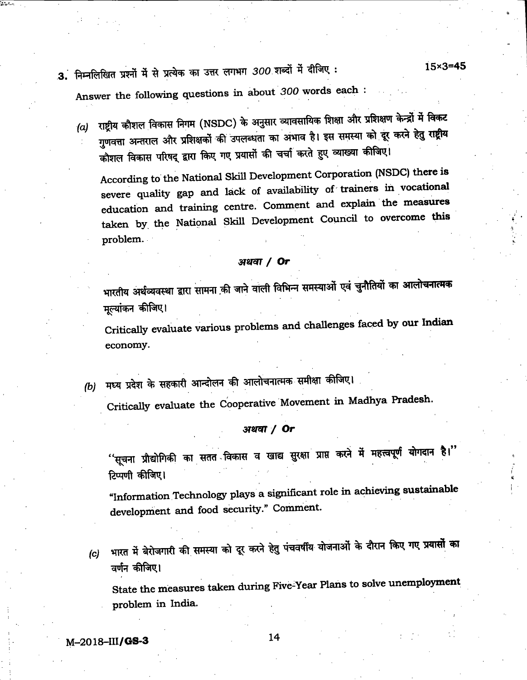3. निम्नलिखित प्रश्नों में से प्रत्येक का उत्तर लगभग 300 शब्दों में दीजिए: 15×3=45

Answer the following questions in about 300 words each :

(a) राष्ट्रीय कौशल विकास निगम (NSDC) के अनुसार व्यावसायिक शिक्षा और प्रशिक्षण केन्द्रों में विकट<br>गुणवत्ता अन्तराल और प्रशिक्षकों की उपलब्धता का अभाव है। इस समस्या को दूर करने हेतु राष्ट्रीय<br>कौशल विकास परिषद् द्वारा किए ग

According to the National Skill Development Corporation (NSDC) there is severe quality gap and lack of availability of trainers in vocational education and training centre. Comment and explain the measures taken by, the National Skill Development Council to overcome this problem.

#### **अथवा / Or**

भारतीय अर्थव्यवस्था द्वारा सामना की जाने वाली विभिन्न समस्याओं एवं चुनौतियों का आलोचनात्मक<br>मूल्यांकन कीजिए।

Critically evaluate various problems and challenges faced by our Indian economy.

(b) मध्य प्रदेश के सहकारी आन्दोलन की आलोचनात्मक समीक्षा कीजिए।

Critically evaluate the Cooperative Movement in Madhya Pradesh.

### अथवा $/$  Or

 $\cdot$ 'सूचना प्रौद्योगिकी का सतत<sup>्</sup>विकास व खाद्य सुरक्षा प्राप्त करने में महत्त्वपूर्ण योगदान है।'' टिप्पणी कीजिए।

"Information Technology plays a significant role in achieving sustainable development and food security." Comment.

भारत में बेरोजगारी की समस्या को दूर करने हेतु पंचवर्षीय योजनाओं के दौरान किए गए प्रयासों का  $(c)$ वर्णन कीजिए।

state the measures taken during Five-Year Plans to solve unemployment problem in India.

M-2018-111/GS-3